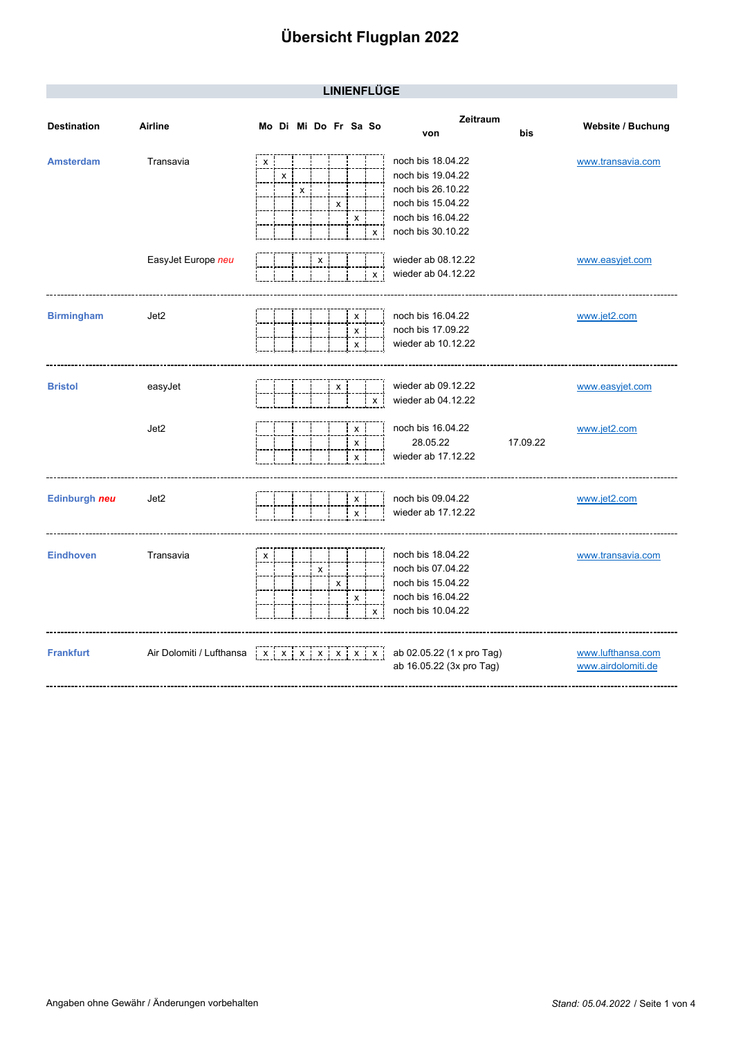| <b>LINIENFLUGE</b> |  |
|--------------------|--|
|                    |  |

|                    |                          |   |                    |   |                           |   |                 |                           | Zeitraum                                                                                              |                                         |
|--------------------|--------------------------|---|--------------------|---|---------------------------|---|-----------------|---------------------------|-------------------------------------------------------------------------------------------------------|-----------------------------------------|
| <b>Destination</b> | Airline                  |   |                    |   | Mo Di Mi Do Fr Sa So      |   |                 |                           | bis<br>von                                                                                            | Website / Buchung                       |
| <b>Amsterdam</b>   | Transavia                | X | $\pmb{\mathsf{x}}$ | x |                           | х | X               |                           | noch bis 18.04.22<br>noch bis 19.04.22<br>noch bis 26.10.22<br>noch bis 15.04.22<br>noch bis 16.04.22 | www.transavia.com                       |
|                    | EasyJet Europe neu       |   |                    |   | X                         |   |                 | X<br>$\mathsf{x}$         | noch bis 30.10.22<br>wieder ab 08.12.22<br>wieder ab 04.12.22                                         | www.easyjet.com                         |
| <b>Birmingham</b>  | Jet2                     |   |                    |   |                           |   | х<br>X<br>x     |                           | noch bis 16.04.22<br>noch bis 17.09.22<br>wieder ab 10.12.22                                          | www.jet2.com                            |
| <b>Bristol</b>     | easyJet                  |   |                    |   |                           | x |                 | $\mathsf{x}$              | wieder ab 09.12.22<br>wieder ab 04.12.22                                                              | www.easyjet.com                         |
|                    | Jet2                     |   |                    |   |                           |   | x<br>X<br>$x$ : |                           | noch bis 16.04.22<br>28.05.22<br>17.09.22<br>wieder ab 17.12.22                                       | www.jet2.com                            |
| Edinburgh neu      | Jet2                     |   |                    |   |                           |   | X<br>X          |                           | noch bis 09.04.22<br>wieder ab 17.12.22                                                               | www.jet2.com                            |
| <b>Eindhoven</b>   | Transavia                | X |                    |   | $\boldsymbol{\mathsf{x}}$ | X | x               | X                         | noch bis 18.04.22<br>noch bis 07.04.22<br>noch bis 15.04.22<br>noch bis 16.04.22<br>noch bis 10.04.22 | www.transavia.com                       |
| <b>Frankfurt</b>   | Air Dolomiti / Lufthansa |   |                    |   |                           |   |                 | x   x   x   x   x   x   x | ab 02.05.22 (1 x pro Tag)<br>ab 16.05.22 (3x pro Tag)                                                 | www.lufthansa.com<br>www.airdolomiti.de |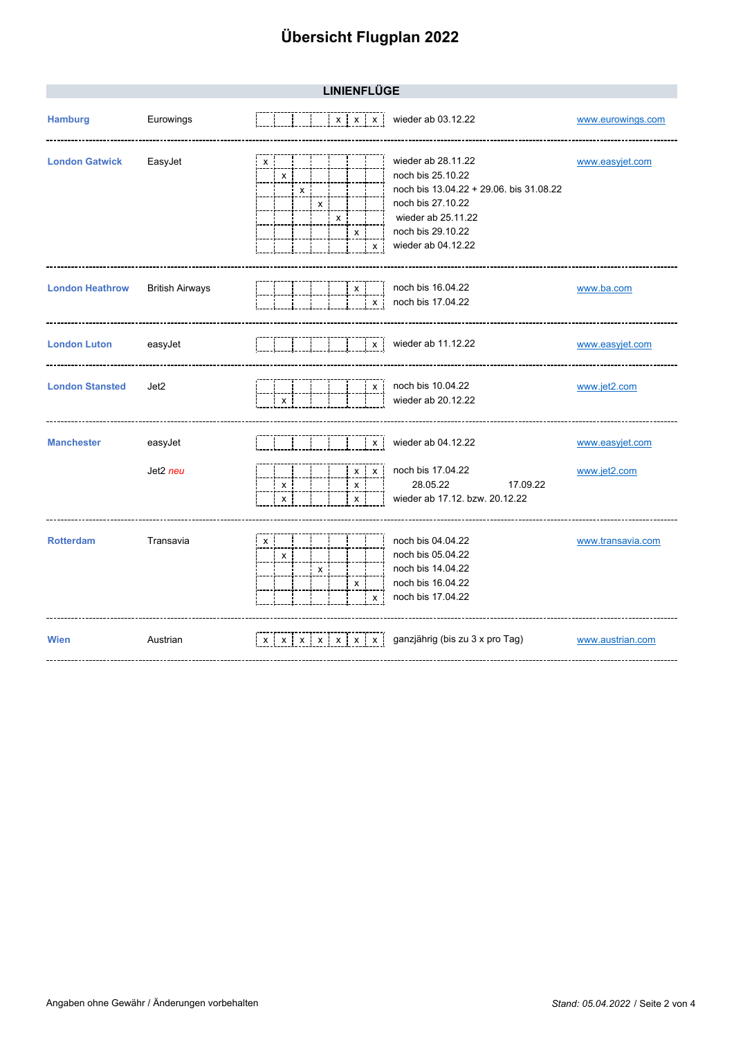| <b>LINIENFLÜGE</b>     |                        |                                                                                                                                                                                                                                     |                                 |  |  |  |
|------------------------|------------------------|-------------------------------------------------------------------------------------------------------------------------------------------------------------------------------------------------------------------------------------|---------------------------------|--|--|--|
| <b>Hamburg</b>         | Eurowings              | wieder ab 03.12.22<br>$x \times x$                                                                                                                                                                                                  | www.eurowings.com               |  |  |  |
| <b>London Gatwick</b>  | EasyJet                | wieder ab 28.11.22<br>х<br>noch bis 25.10.22<br>X<br>noch bis 13.04.22 + 29.06. bis 31.08.22<br>X<br>noch bis 27.10.22<br>$\boldsymbol{\mathsf{x}}$<br>wieder ab 25.11.22<br>X<br>noch bis 29.10.22<br>х<br>wieder ab 04.12.22<br>X | www.easyjet.com                 |  |  |  |
| <b>London Heathrow</b> | <b>British Airways</b> | noch bis 16.04.22<br>x<br>noch bis 17.04.22<br>x                                                                                                                                                                                    | www.ba.com                      |  |  |  |
| <b>London Luton</b>    | easyJet                | wieder ab 11.12.22<br>$\mathsf{x}$                                                                                                                                                                                                  | www.easyjet.com                 |  |  |  |
| <b>London Stansted</b> | Jet2                   | noch bis 10.04.22<br>X<br>wieder ab 20.12.22<br>X                                                                                                                                                                                   | www.jet2.com                    |  |  |  |
| <b>Manchester</b>      | easyJet<br>Jet2 neu    | wieder ab 04.12.22<br>X<br>noch bis 17.04.22<br>X<br>χi<br>28.05.22<br>17.09.22<br>x<br>х<br>wieder ab 17.12. bzw. 20.12.22<br>X<br>x                                                                                               | www.easyjet.com<br>www.jet2.com |  |  |  |
| <b>Rotterdam</b>       | Transavia              | noch bis 04.04.22<br>x<br>noch bis 05.04.22<br>x<br>noch bis 14.04.22<br>X<br>noch bis 16.04.22<br>x<br>noch bis 17.04.22<br>x                                                                                                      | www.transavia.com               |  |  |  |
| <b>Wien</b>            | Austrian               | ganzjährig (bis zu 3 x pro Tag)<br>$x \mid x \mid x \mid x \mid x \mid x \mid x$                                                                                                                                                    | www.austrian.com                |  |  |  |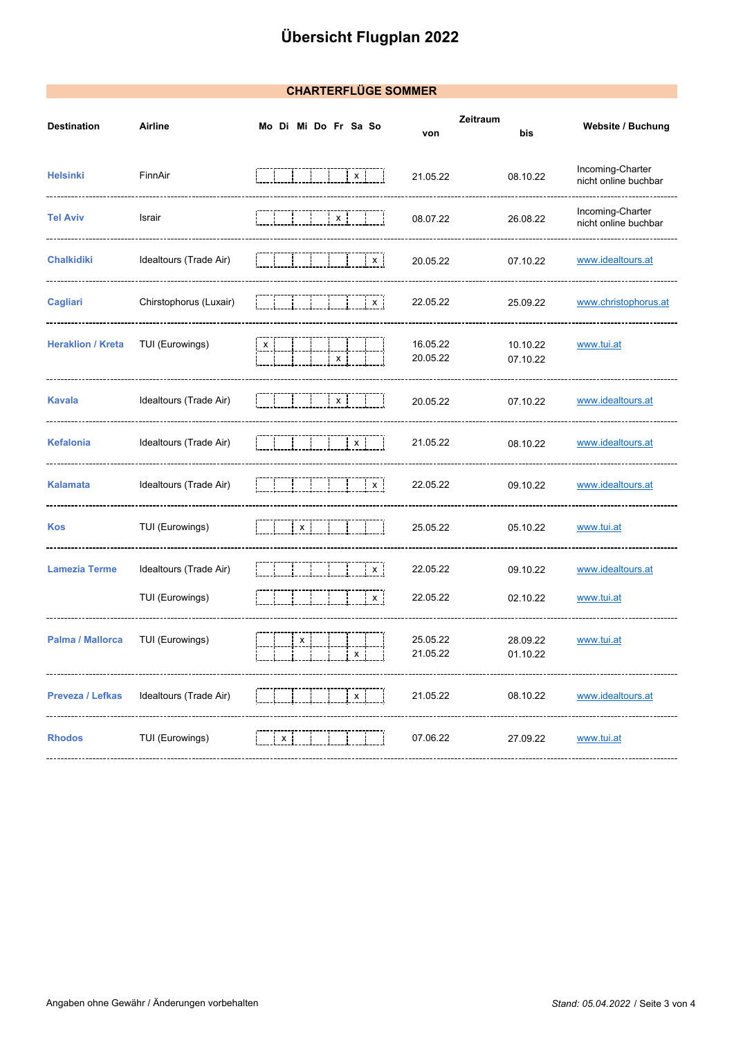#### **CHARTERFLÜGE SOMMER**

| <b>Destination</b>       | Airline                | Mo Di Mi Do Fr Sa So | Zeitraum<br>von      | bis                  | Website / Buchung                        |
|--------------------------|------------------------|----------------------|----------------------|----------------------|------------------------------------------|
| <b>Helsinki</b>          | FinnAir                | $\mathbf{x}$         | 21.05.22             | 08.10.22             | Incoming-Charter<br>nicht online buchbar |
| <b>Tel Aviv</b>          | Israir                 | X.                   | 08.07.22             | 26.08.22             | Incoming-Charter<br>nicht online buchbar |
| <b>Chalkidiki</b>        | Idealtours (Trade Air) | $\mathbf{X}$         | 20.05.22             | 07.10.22             | www.idealtours.at                        |
| Cagliari                 | Chirstophorus (Luxair) | X                    | 22.05.22             | 25.09.22             | www.christophorus.at                     |
| <b>Heraklion / Kreta</b> | TUI (Eurowings)        | х                    | 16.05.22<br>20.05.22 | 10.10.22<br>07.10.22 | www.tui.at                               |
| <b>Kavala</b>            | Idealtours (Trade Air) | $\mathsf{x}$         | 20.05.22             | 07.10.22             | www.idealtours.at                        |
| <b>Kefalonia</b>         | Idealtours (Trade Air) | $\mathbf{X}$         | 21.05.22             | 08.10.22             | www.idealtours.at                        |
| <b>Kalamata</b>          | Idealtours (Trade Air) | X i                  | 22.05.22             | 09.10.22             | www.idealtours.at                        |
| Kos                      | TUI (Eurowings)        | $\mathsf{x}$         | 25.05.22             | 05.10.22             | www.tui.at                               |
| <b>Lamezia Terme</b>     | Idealtours (Trade Air) | x i                  | 22.05.22             | 09.10.22             | www.idealtours.at                        |
|                          | TUI (Eurowings)        | $\mathsf{x}$         | 22.05.22             | 02.10.22             | www.tui.at                               |
| Palma / Mallorca         | TUI (Eurowings)        | x<br>x i             | 25.05.22<br>21.05.22 | 28.09.22<br>01.10.22 | www.tui.at                               |
| Preveza / Lefkas         | Idealtours (Trade Air) | X                    | 21.05.22             | 08.10.22             | www.idealtours.at                        |
| <b>Rhodos</b>            | TUI (Eurowings)        | х                    | 07.06.22             | 27.09.22             | www.tui.at                               |